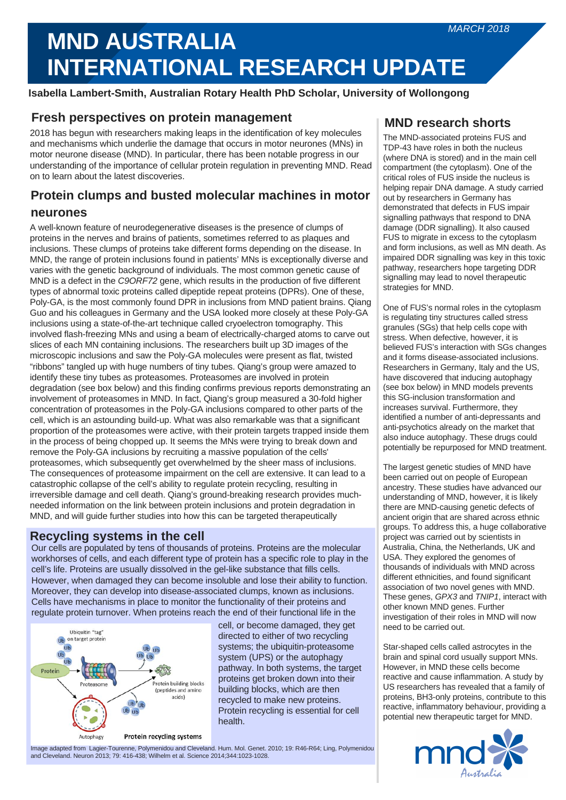# **INALLY ARRIEN AREADS INTERNATIONAL RESEARCH UPDATE MND AUSTRALIA**

**Isabella Lambert-Smith, Australian Rotary Health PhD Scholar, University of Wollongong**

# **Fresh perspectives on protein management MND IMND** research shorts

2018 has begun with researchers making leaps in the identification of key molecules and mechanisms which underlie the damage that occurs in motor neurones (MNs) in motor neurone disease (MND). In particular, there has been notable progress in our understanding of the importance of cellular protein regulation in preventing MND. Read on to learn about the latest discoveries.

# **Protein clumps and busted molecular machines in motor neurones**

A well-known feature of neurodegenerative diseases is the presence of clumps of proteins in the nerves and brains of patients, sometimes referred to as plaques and inclusions. These clumps of proteins take different forms depending on the disease. In MND, the range of protein inclusions found in patients' MNs is exceptionally diverse and varies with the genetic background of individuals. The most common genetic cause of MND is a defect in the *C9ORF72* gene, which results in the production of five different types of abnormal toxic proteins called dipeptide repeat proteins (DPRs). One of these, Poly-GA, is the most commonly found DPR in inclusions from MND patient brains. Qiang Guo and his colleagues in Germany and the USA looked more closely at these Poly-GA inclusions using a state-of-the-art technique called cryoelectron tomography. This involved flash-freezing MNs and using a beam of electrically-charged atoms to carve out slices of each MN containing inclusions. The researchers built up 3D images of the microscopic inclusions and saw the Poly-GA molecules were present as flat, twisted "ribbons" tangled up with huge numbers of tiny tubes. Qiang's group were amazed to identify these tiny tubes as proteasomes. Proteasomes are involved in protein degradation (see box below) and this finding confirms previous reports demonstrating an involvement of proteasomes in MND. In fact, Qiang's group measured a 30-fold higher concentration of proteasomes in the Poly-GA inclusions compared to other parts of the cell, which is an astounding build-up. What was also remarkable was that a significant proportion of the proteasomes were active, with their protein targets trapped inside them in the process of being chopped up. It seems the MNs were trying to break down and remove the Poly-GA inclusions by recruiting a massive population of the cells' proteasomes, which subsequently get overwhelmed by the sheer mass of inclusions. The consequences of proteasome impairment on the cell are extensive. It can lead to a catastrophic collapse of the cell's ability to regulate protein recycling, resulting in irreversible damage and cell death. Qiang's ground-breaking research provides muchneeded information on the link between protein inclusions and protein degradation in MND, and will guide further studies into how this can be targeted therapeutically

## **Recycling systems in the cell**

Our cells are populated by tens of thousands of proteins. Proteins are the molecular workhorses of cells, and each different type of protein has a specific role to play in the cell's life. Proteins are usually dissolved in the gel-like substance that fills cells. However, when damaged they can become insoluble and lose their ability to function. Moreover, they can develop into disease-associated clumps, known as inclusions. Cells have mechanisms in place to monitor the functionality of their proteins and regulate protein turnover. When proteins reach the end of their functional life in the



cell, or become damaged, they get directed to either of two recycling systems; the ubiquitin-proteasome system (UPS) or the autophagy pathway. In both systems, the target proteins get broken down into their building blocks, which are then recycled to make new proteins. Protein recycling is essential for cell health.

Image adapted from Lagier-Tourenne, Polymenidou and Cleveland. Hum. Mol. Genet. 2010; 19: R46-R64; Ling, Polymenidou and Cleveland. Neuron 2013; 79: 416-438; Wilhelm et al. Science 2014;344:1023-1028.

The MND-associated proteins FUS and TDP-43 have roles in both the nucleus (where DNA is stored) and in the main cell compartment (the cytoplasm). One of the critical roles of FUS inside the nucleus is helping repair DNA damage. A study carried out by researchers in Germany has demonstrated that defects in FUS impair signalling pathways that respond to DNA damage (DDR signalling). It also caused FUS to migrate in excess to the cytoplasm and form inclusions, as well as MN death. As impaired DDR signalling was key in this toxic pathway, researchers hope targeting DDR signalling may lead to novel therapeutic strategies for MND.

One of FUS's normal roles in the cytoplasm is regulating tiny structures called stress granules (SGs) that help cells cope with stress. When defective, however, it is believed FUS's interaction with SGs changes and it forms disease-associated inclusions. Researchers in Germany, Italy and the US, have discovered that inducing autophagy (see box below) in MND models prevents this SG-inclusion transformation and increases survival. Furthermore, they identified a number of anti-depressants and anti-psychotics already on the market that also induce autophagy. These drugs could potentially be repurposed for MND treatment.

The largest genetic studies of MND have been carried out on people of European ancestry. These studies have advanced our understanding of MND, however, it is likely there are MND-causing genetic defects of ancient origin that are shared across ethnic groups. To address this, a huge collaborative project was carried out by scientists in Australia, China, the Netherlands, UK and USA. They explored the genomes of thousands of individuals with MND across different ethnicities, and found significant association of two novel genes with MND. These genes, *GPX3* and *TNIP1*, interact with other known MND genes. Further investigation of their roles in MND will now need to be carried out.

Star-shaped cells called astrocytes in the brain and spinal cord usually support MNs. However, in MND these cells become reactive and cause inflammation. A study by US researchers has revealed that a family of proteins, BH3-only proteins, contribute to this reactive, inflammatory behaviour, providing a potential new therapeutic target for MND.